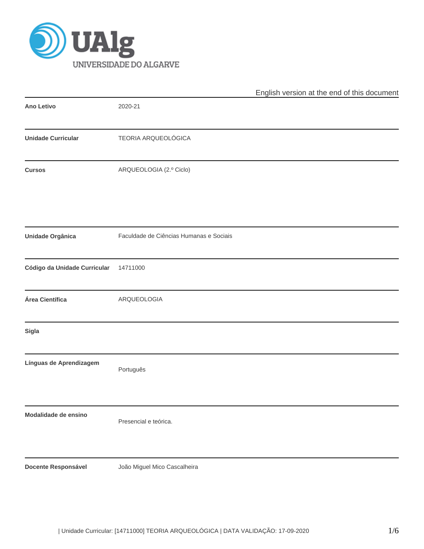

|                              |                                         | English version at the end of this document |
|------------------------------|-----------------------------------------|---------------------------------------------|
| Ano Letivo                   | 2020-21                                 |                                             |
| <b>Unidade Curricular</b>    | TEORIA ARQUEOLÓGICA                     |                                             |
| <b>Cursos</b>                | ARQUEOLOGIA (2.º Ciclo)                 |                                             |
| Unidade Orgânica             | Faculdade de Ciências Humanas e Sociais |                                             |
| Código da Unidade Curricular | 14711000                                |                                             |
| Área Científica              | ARQUEOLOGIA                             |                                             |
| Sigla                        |                                         |                                             |
| Línguas de Aprendizagem      | Português                               |                                             |
| Modalidade de ensino         | Presencial e teórica.                   |                                             |
| <b>Docente Responsável</b>   | João Miguel Mico Cascalheira            |                                             |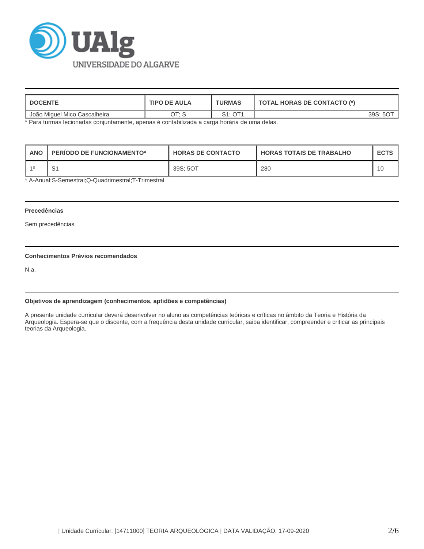

| <b>DOCENTE</b>               | <b>TIPO DE AULA</b>    | TURMAS  | <b>TOTAL HORAS DE CONTACTO (*)</b> |  |  |
|------------------------------|------------------------|---------|------------------------------------|--|--|
| João Miguel Mico Cascalheira | $\tau$ . $\sigma$<br>◡ | S1: OT1 | 20 ت                               |  |  |

\* Para turmas lecionadas conjuntamente, apenas é contabilizada a carga horária de uma delas.

| <b>ANC</b> | <b>PERIODO DE FUNCIONAMENTO*</b> | <b>HORAS DE CONTACTO</b> | <b>HORAS TOTAIS DE TRABALHO</b> | <b>ECTS</b> |
|------------|----------------------------------|--------------------------|---------------------------------|-------------|
|            |                                  | 39S: 5OT                 | 280                             |             |

\* A-Anual;S-Semestral;Q-Quadrimestral;T-Trimestral

# **Precedências**

Sem precedências

# **Conhecimentos Prévios recomendados**

N.a.

#### **Objetivos de aprendizagem (conhecimentos, aptidões e competências)**

A presente unidade curricular deverá desenvolver no aluno as competências teóricas e críticas no âmbito da Teoria e História da Arqueologia. Espera-se que o discente, com a frequência desta unidade curricular, saiba identificar, compreender e criticar as principais teorias da Arqueologia.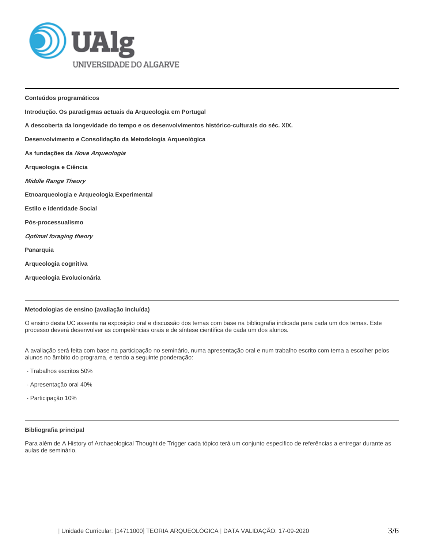

**Conteúdos programáticos Introdução. Os paradigmas actuais da Arqueologia em Portugal A descoberta da longevidade do tempo e os desenvolvimentos histórico-culturais do séc. XIX. Desenvolvimento e Consolidação da Metodologia Arqueológica As fundações da Nova Arqueologia Arqueologia e Ciência Middle Range Theory Etnoarqueologia e Arqueologia Experimental Estilo e identidade Social Pós-processualismo Optimal foraging theory Panarquia Arqueologia cognitiva Arqueologia Evolucionária** 

## **Metodologias de ensino (avaliação incluída)**

O ensino desta UC assenta na exposição oral e discussão dos temas com base na bibliografia indicada para cada um dos temas. Este processo deverá desenvolver as competências orais e de síntese científica de cada um dos alunos.

A avaliação será feita com base na participação no seminário, numa apresentação oral e num trabalho escrito com tema a escolher pelos alunos no âmbito do programa, e tendo a seguinte ponderação:

- Trabalhos escritos 50%
- Apresentação oral 40%
- Participação 10%

## **Bibliografia principal**

Para além de A History of Archaeological Thought de Trigger cada tópico terá um conjunto especifico de referências a entregar durante as aulas de seminário.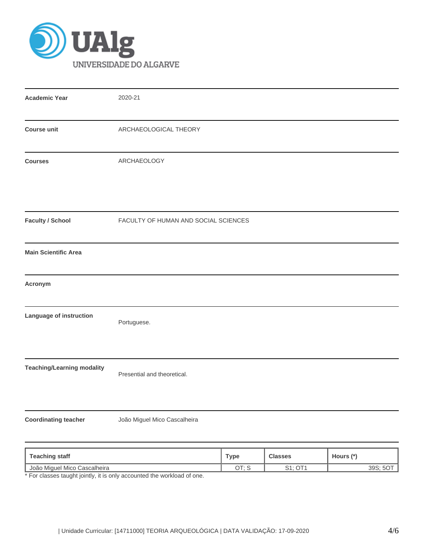

| <b>Academic Year</b>              | 2020-21                              |             |                |           |  |  |
|-----------------------------------|--------------------------------------|-------------|----------------|-----------|--|--|
| <b>Course unit</b>                | ARCHAEOLOGICAL THEORY                |             |                |           |  |  |
| <b>Courses</b>                    | ARCHAEOLOGY                          |             |                |           |  |  |
| <b>Faculty / School</b>           | FACULTY OF HUMAN AND SOCIAL SCIENCES |             |                |           |  |  |
| <b>Main Scientific Area</b>       |                                      |             |                |           |  |  |
| Acronym                           |                                      |             |                |           |  |  |
| Language of instruction           | Portuguese.                          |             |                |           |  |  |
| <b>Teaching/Learning modality</b> | Presential and theoretical.          |             |                |           |  |  |
| <b>Coordinating teacher</b>       | João Miguel Mico Cascalheira         |             |                |           |  |  |
| <b>Teaching staff</b>             |                                      | <b>Type</b> | <b>Classes</b> | Hours (*) |  |  |

João Miguel Mico Cascalheira OT; S S1; OT1 39S; 5OT \* For classes taught jointly, it is only accounted the workload of one.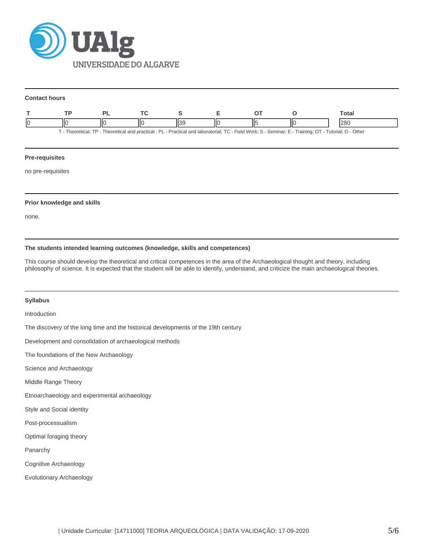

#### **Contact hours**

|                                                                                                                                                          |  |   |  |  |   |  | ⊤otal |
|----------------------------------------------------------------------------------------------------------------------------------------------------------|--|---|--|--|---|--|-------|
| -IC                                                                                                                                                      |  | Ш |  |  | П |  | 280   |
| - Practical and laboratorial: TC - Field Work: S - Seminar: E - Training: OT - Tutorial: O - Other -<br>Theoretical: TP - Theoretical and practical : PL |  |   |  |  |   |  |       |

## **Pre-requisites**

no pre-requisites

## **Prior knowledge and skills**

none.

## **The students intended learning outcomes (knowledge, skills and competences)**

This course should develop the theoretical and critical competences in the area of the Archaeological thought and theory, including philosophy of science. It is expected that the student will be able to identify, understand, and criticize the main archaeological theories.

## **Syllabus**

Introduction

The discovery of the long time and the historical developments of the 19th century

Development and consolidation of archaeological methods

The foundations of the New Archaeology

Science and Archaeology

Middle Range Theory

Etnoarchaeology and experimental archaeology

Style and Social identity

Post-processualism

Optimal foraging theory

Panarchy

Cognitive Archaeology

Evolutionary Archaeology